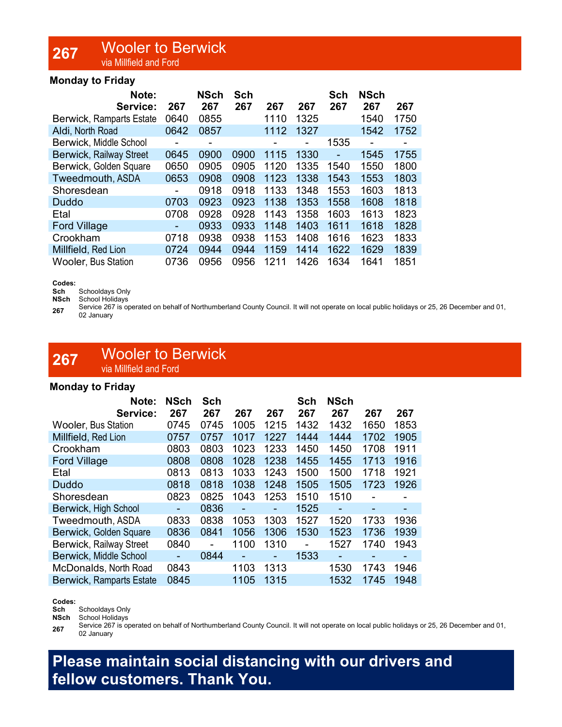### 267 Wooler to Berwick via Millfield and Ford

### Monday to Friday

| Note:<br>Service:               | 267            | <b>NSch</b><br>267 | <b>Sch</b><br>267 | 267  | 267  | Sch<br>267     | <b>NSch</b><br>267 | 267  |
|---------------------------------|----------------|--------------------|-------------------|------|------|----------------|--------------------|------|
|                                 | 0640           | 0855               |                   |      | 1325 |                | 1540               | 1750 |
| <b>Berwick, Ramparts Estate</b> |                |                    |                   | 1110 |      |                |                    |      |
| Aldi, North Road                | 0642           | 0857               |                   | 1112 | 1327 |                | 1542               | 1752 |
| Berwick, Middle School          | $\blacksquare$ | ۰                  |                   | -    |      | 1535           |                    | ۰    |
| <b>Berwick, Railway Street</b>  | 0645           | 0900               | 0900              | 1115 | 1330 | $\blacksquare$ | 1545               | 1755 |
| Berwick, Golden Square          | 0650           | 0905               | 0905              | 1120 | 1335 | 1540           | 1550               | 1800 |
| Tweedmouth, ASDA                | 0653           | 0908               | 0908              | 1123 | 1338 | 1543           | 1553               | 1803 |
| Shoresdean                      | -              | 0918               | 0918              | 1133 | 1348 | 1553           | 1603               | 1813 |
| <b>Duddo</b>                    | 0703           | 0923               | 0923              | 1138 | 1353 | 1558           | 1608               | 1818 |
| Etal                            | 0708           | 0928               | 0928              | 1143 | 1358 | 1603           | 1613               | 1823 |
| <b>Ford Village</b>             | ۰              | 0933               | 0933              | 1148 | 1403 | 1611           | 1618               | 1828 |
| Crookham                        | 0718           | 0938               | 0938              | 1153 | 1408 | 1616           | 1623               | 1833 |
| Millfield, Red Lion             | 0724           | 0944               | 0944              | 1159 | 1414 | 1622           | 1629               | 1839 |
| <b>Wooler, Bus Station</b>      | 0736           | 0956               | 0956              | 1211 | 1426 | 1634           | 1641               | 1851 |

#### Codes:

Sch Schooldays Only

NSch School Holidays

267 Service 267 is operated on behalf of Northumberland County Council. It will not operate on local public holidays or 25, 26 December and 01, 02 January

### 267 Wooler to Berwick via Millfield and Ford

### Monday to Friday

| Note:                           | <b>NSch</b> | <b>Sch</b> |      |      | Sch  | <b>NSch</b> |      |      |
|---------------------------------|-------------|------------|------|------|------|-------------|------|------|
| Service:                        | 267         | 267        | 267  | 267  | 267  | 267         | 267  | 267  |
| <b>Wooler, Bus Station</b>      | 0745        | 0745       | 1005 | 1215 | 1432 | 1432        | 1650 | 1853 |
| Millfield, Red Lion             | 0757        | 0757       | 1017 | 1227 | 1444 | 1444        | 1702 | 1905 |
| Crookham                        | 0803        | 0803       | 1023 | 1233 | 1450 | 1450        | 1708 | 1911 |
| <b>Ford Village</b>             | 0808        | 0808       | 1028 | 1238 | 1455 | 1455        | 1713 | 1916 |
| Etal                            | 0813        | 0813       | 1033 | 1243 | 1500 | 1500        | 1718 | 1921 |
| <b>Duddo</b>                    | 0818        | 0818       | 1038 | 1248 | 1505 | 1505        | 1723 | 1926 |
| Shoresdean                      | 0823        | 0825       | 1043 | 1253 | 1510 | 1510        |      |      |
| Berwick, High School            |             | 0836       | ÷    | ۰    | 1525 | $\sim$      | ۰    | -    |
| Tweedmouth, ASDA                | 0833        | 0838       | 1053 | 1303 | 1527 | 1520        | 1733 | 1936 |
| Berwick, Golden Square          | 0836        | 0841       | 1056 | 1306 | 1530 | 1523        | 1736 | 1939 |
| <b>Berwick, Railway Street</b>  | 0840        |            | 1100 | 1310 |      | 1527        | 1740 | 1943 |
| Berwick, Middle School          |             | 0844       |      | ÷    | 1533 |             | -    |      |
| McDonalds, North Road           | 0843        |            | 1103 | 1313 |      | 1530        | 1743 | 1946 |
| <b>Berwick, Ramparts Estate</b> | 0845        |            | 1105 | 1315 |      | 1532        | 1745 | 1948 |

#### Codes:

Sch Schooldays Only

NSch School Holidays

267 Service 267 is operated on behalf of Northumberland County Council. It will not operate on local public holidays or 25, 26 December and 01, 02 January

## Please maintain social distancing with our drivers and fellow customers. Thank You.